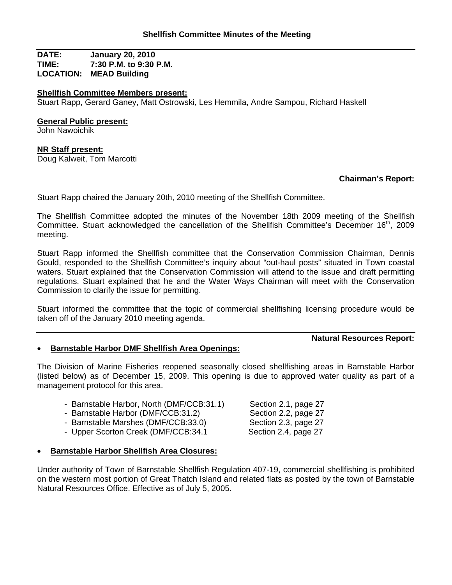**DATE: January 20, 2010 TIME: 7:30 P.M. to 9:30 P.M. LOCATION: MEAD Building**

#### **Shellfish Committee Members present:**

Stuart Rapp, Gerard Ganey, Matt Ostrowski, Les Hemmila, Andre Sampou, Richard Haskell

#### **General Public present:**

John Nawoichik

## **NR Staff present:**

Doug Kalweit, Tom Marcotti

## **Chairman's Report:**

Stuart Rapp chaired the January 20th, 2010 meeting of the Shellfish Committee.

The Shellfish Committee adopted the minutes of the November 18th 2009 meeting of the Shellfish Committee. Stuart acknowledged the cancellation of the Shellfish Committee's December 16<sup>th</sup>, 2009 meeting.

Stuart Rapp informed the Shellfish committee that the Conservation Commission Chairman, Dennis Gould, responded to the Shellfish Committee's inquiry about "out-haul posts" situated in Town coastal waters. Stuart explained that the Conservation Commission will attend to the issue and draft permitting regulations. Stuart explained that he and the Water Ways Chairman will meet with the Conservation Commission to clarify the issue for permitting.

Stuart informed the committee that the topic of commercial shellfishing licensing procedure would be taken off of the January 2010 meeting agenda.

## **Natural Resources Report:**

## • **Barnstable Harbor DMF Shellfish Area Openings:**

The Division of Marine Fisheries reopened seasonally closed shellfishing areas in Barnstable Harbor (listed below) as of December 15, 2009. This opening is due to approved water quality as part of a management protocol for this area.

|  | - Barnstable Harbor, North (DMF/CCB:31.1) |  |  |  |
|--|-------------------------------------------|--|--|--|
|--|-------------------------------------------|--|--|--|

- Barnstable Harbor (DMF/CCB:31.2) Section 2.2, page 27
- Barnstable Marshes (DMF/CCB:33.0) Section 2.3, page 27
- Upper Scorton Creek (DMF/CCB:34.1 Section 2.4, page 27
- Section 2.1, page 27
- **Barnstable Harbor Shellfish Area Closures:**

Under authority of Town of Barnstable Shellfish Regulation 407-19, commercial shellfishing is prohibited on the western most portion of Great Thatch Island and related flats as posted by the town of Barnstable Natural Resources Office. Effective as of July 5, 2005.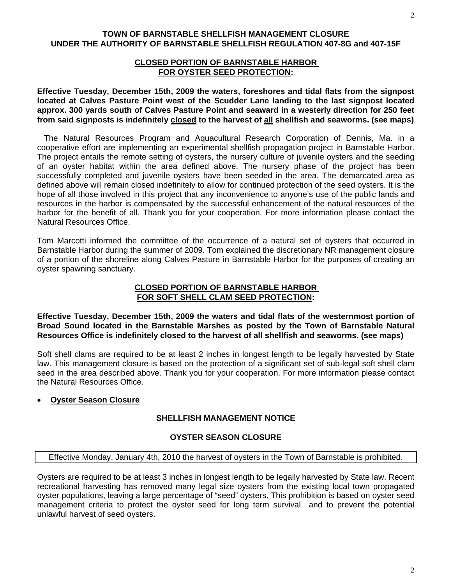## **TOWN OF BARNSTABLE SHELLFISH MANAGEMENT CLOSURE UNDER THE AUTHORITY OF BARNSTABLE SHELLFISH REGULATION 407-8G and 407-15F**

## **CLOSED PORTION OF BARNSTABLE HARBOR FOR OYSTER SEED PROTECTION:**

**Effective Tuesday, December 15th, 2009 the waters, foreshores and tidal flats from the signpost located at Calves Pasture Point west of the Scudder Lane landing to the last signpost located approx. 300 yards south of Calves Pasture Point and seaward in a westerly direction for 250 feet from said signposts is indefinitely closed to the harvest of all shellfish and seaworms. (see maps)**

 The Natural Resources Program and Aquacultural Research Corporation of Dennis, Ma. in a cooperative effort are implementing an experimental shellfish propagation project in Barnstable Harbor. The project entails the remote setting of oysters, the nursery culture of juvenile oysters and the seeding of an oyster habitat within the area defined above. The nursery phase of the project has been successfully completed and juvenile oysters have been seeded in the area. The demarcated area as defined above will remain closed indefinitely to allow for continued protection of the seed oysters. It is the hope of all those involved in this project that any inconvenience to anyone's use of the public lands and resources in the harbor is compensated by the successful enhancement of the natural resources of the harbor for the benefit of all. Thank you for your cooperation. For more information please contact the Natural Resources Office.

Tom Marcotti informed the committee of the occurrence of a natural set of oysters that occurred in Barnstable Harbor during the summer of 2009. Tom explained the discretionary NR management closure of a portion of the shoreline along Calves Pasture in Barnstable Harbor for the purposes of creating an oyster spawning sanctuary.

## **CLOSED PORTION OF BARNSTABLE HARBOR FOR SOFT SHELL CLAM SEED PROTECTION:**

**Effective Tuesday, December 15th, 2009 the waters and tidal flats of the westernmost portion of Broad Sound located in the Barnstable Marshes as posted by the Town of Barnstable Natural Resources Office is indefinitely closed to the harvest of all shellfish and seaworms. (see maps)**

Soft shell clams are required to be at least 2 inches in longest length to be legally harvested by State law. This management closure is based on the protection of a significant set of sub-legal soft shell clam seed in the area described above. Thank you for your cooperation. For more information please contact the Natural Resources Office.

# • **Oyster Season Closure**

# **SHELLFISH MANAGEMENT NOTICE**

# **OYSTER SEASON CLOSURE**

## Effective Monday, January 4th, 2010 the harvest of oysters in the Town of Barnstable is prohibited.

Oysters are required to be at least 3 inches in longest length to be legally harvested by State law. Recent recreational harvesting has removed many legal size oysters from the existing local town propagated oyster populations, leaving a large percentage of "seed" oysters. This prohibition is based on oyster seed management criteria to protect the oyster seed for long term survival and to prevent the potential unlawful harvest of seed oysters.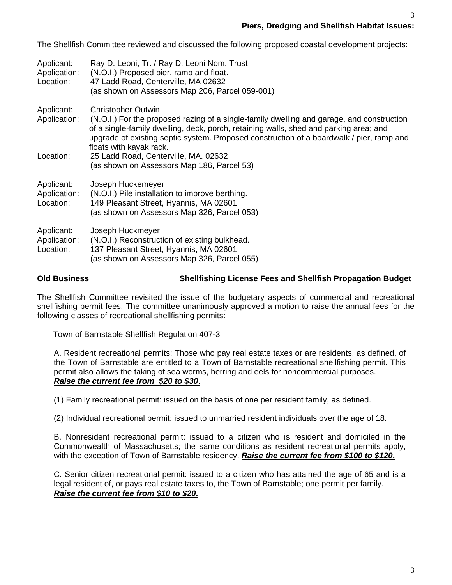3

The Shellfish Committee reviewed and discussed the following proposed coastal development projects:

| Applicant:<br>Application:<br>Location: | Ray D. Leoni, Tr. / Ray D. Leoni Nom. Trust<br>(N.O.I.) Proposed pier, ramp and float.<br>47 Ladd Road, Centerville, MA 02632<br>(as shown on Assessors Map 206, Parcel 059-001)                                                                                                                                                       |
|-----------------------------------------|----------------------------------------------------------------------------------------------------------------------------------------------------------------------------------------------------------------------------------------------------------------------------------------------------------------------------------------|
| Applicant:<br>Application:              | <b>Christopher Outwin</b><br>(N.O.I.) For the proposed razing of a single-family dwelling and garage, and construction<br>of a single-family dwelling, deck, porch, retaining walls, shed and parking area; and<br>upgrade of existing septic system. Proposed construction of a boardwalk / pier, ramp and<br>floats with kayak rack. |
| Location:                               | 25 Ladd Road, Centerville, MA. 02632<br>(as shown on Assessors Map 186, Parcel 53)                                                                                                                                                                                                                                                     |
| Applicant:<br>Application:<br>Location: | Joseph Huckemeyer<br>(N.O.I.) Pile installation to improve berthing.<br>149 Pleasant Street, Hyannis, MA 02601<br>(as shown on Assessors Map 326, Parcel 053)                                                                                                                                                                          |
| Applicant:<br>Application:<br>Location: | Joseph Huckmeyer<br>(N.O.I.) Reconstruction of existing bulkhead.<br>137 Pleasant Street, Hyannis, MA 02601<br>(as shown on Assessors Map 326, Parcel 055)                                                                                                                                                                             |

# **Old Business Shellfishing License Fees and Shellfish Propagation Budget**

The Shellfish Committee revisited the issue of the budgetary aspects of commercial and recreational shellfishing permit fees. The committee unanimously approved a motion to raise the annual fees for the following classes of recreational shellfishing permits:

Town of Barnstable Shellfish Regulation 407-3

A. Resident recreational permits: Those who pay real estate taxes or are residents, as defined, of the Town of Barnstable are entitled to a Town of Barnstable recreational shellfishing permit. This permit also allows the taking of sea worms, herring and eels for noncommercial purposes. *Raise the current fee from \$20 to \$30*.

(1) Family recreational permit: issued on the basis of one per resident family, as defined.

(2) Individual recreational permit: issued to unmarried resident individuals over the age of 18.

B. Nonresident recreational permit: issued to a citizen who is resident and domiciled in the Commonwealth of Massachusetts; the same conditions as resident recreational permits apply, with the exception of Town of Barnstable residency. *Raise the current fee from \$100 to \$120***.**

C. Senior citizen recreational permit: issued to a citizen who has attained the age of 65 and is a legal resident of, or pays real estate taxes to, the Town of Barnstable; one permit per family. *Raise the current fee from \$10 to \$20***.**